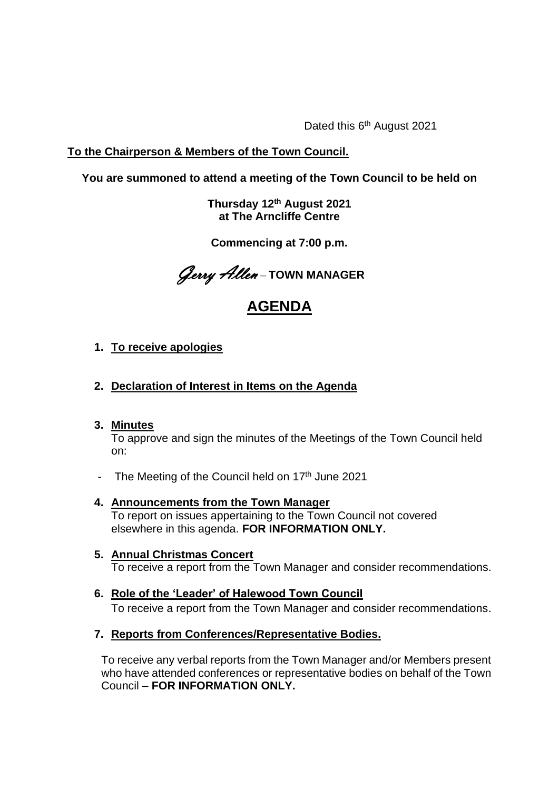Dated this 6<sup>th</sup> August 2021

# **To the Chairperson & Members of the Town Council.**

# **You are summoned to attend a meeting of the Town Council to be held on**

**Thursday 12 th August 2021 at The Arncliffe Centre** 

**Commencing at 7:00 p.m.**

Gerry Allen – **TOWN MANAGER**

# **AGENDA**

# **1. To receive apologies**

# **2. Declaration of Interest in Items on the Agenda**

## **3. Minutes**

To approve and sign the minutes of the Meetings of the Town Council held on:

- The Meeting of the Council held on 17<sup>th</sup> June 2021
- **4. Announcements from the Town Manager** To report on issues appertaining to the Town Council not covered elsewhere in this agenda. **FOR INFORMATION ONLY.**
- **5. Annual Christmas Concert** To receive a report from the Town Manager and consider recommendations.
- **6. Role of the 'Leader' of Halewood Town Council** To receive a report from the Town Manager and consider recommendations.

## **7. Reports from Conferences/Representative Bodies.**

To receive any verbal reports from the Town Manager and/or Members present who have attended conferences or representative bodies on behalf of the Town Council – **FOR INFORMATION ONLY.**